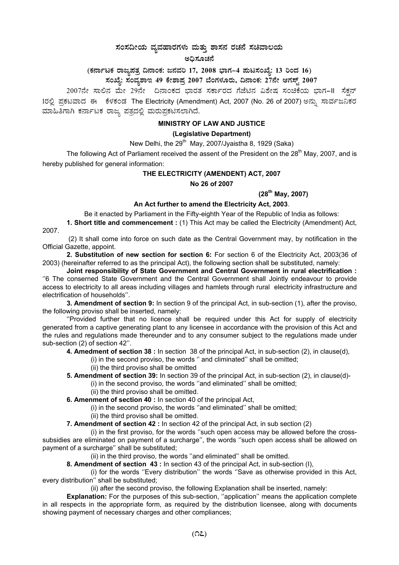# $\pi$ ನಂಸದೀಯ ವ್ಯವಹಾರಗಳು ಮತ್ತು ಶಾಸನ ರಚನೆ ಸಚಿವಾಲಯ

#### ಅಧಿಸೂಚನೆ

(ಕರ್ನಾಟಕ ರಾಜ್ಯಪತ್ರ ದಿನಾಂಕ: ಜನವರಿ 17, 2008 ಭಾಗ–4 **ಪುಟಸಂಖ್ಯೆ: 13 ರಿಂದ 16)** 

ಸಂಖ್ಯೆ: ಸಂವ್ಯಶಾಇ 49 ಕೇಶಾಪ್ರ 2007 ಬೆಂಗಳೂರು, ದಿನಾಂಕ: 27ನೇ ಆಗಸ್ಟ್ 2007 <sub>.</sub>

2007ನೇ ಸಾಲಿನ ಮೇ 29ನೇ ದಿನಾಂಕದ ಭಾರತ ಸರ್ಕಾರದ ಗೆಜೆಟಿನ ವಿಶೇಷ ಸಂಚಿಕೆಯ ಭಾಗ−II ಸೆಕ್ಷನ್ 1ರಲ್ಲಿ ಪ್ರಕಟವಾದ ಈ ಕೆಳಕಂಡ The Electricity (Amendment) Act, 2007 (No. 26 of 2007) ಅನ್ನು ಸಾರ್ವಜನಿಕರ ಮಾಹಿತಿಗಾಗಿ ಕರ್ನಾಟಕ ರಾಜ್ಯ ಪತ್ರದಲ್ಲಿ ಮರುಪ್ರಕಟಿಸಲಾಗಿದೆ.

### **MINISTRY OF LAW AND JUSTICE**

#### **(Legislative Department)**

New Delhi, the  $29<sup>th</sup>$  May, 2007/Jyaistha 8, 1929 (Saka)

The following Act of Parliament received the assent of the President on the  $28<sup>th</sup>$  May, 2007, and is hereby published for general information:

## **THE ELECTRICITY (AMENDENT) ACT, 2007**

**No 26 of 2007**

## **(28th May, 2007)**

## **An Act further to amend the Electricity Act, 2003**.

Be it enacted by Parliament in the Fifty-eighth Year of the Republic of India as follows:

**1. Short title and commencement :** (1) This Act may be called the Electricity (Amendment) Act, 2007.

(2) It shall come into force on such date as the Central Government may, by notification in the Official Gazette, appoint.

**2. Substitution of new section for section 6:** For section 6 of the Electricity Act, 2003(36 of 2003) (hereinafter referred to as the principal Act), the following section shall be substituted, namely:

**Joint responsibility of State Government and Central Government in rural electrification :** ''6 The conserned State Government and the Central Government shall Jointly endeavour to provide access to electricity to all areas including villages and hamlets through rural electricity infrastructure and electrification of households''.

**3. Amendment of section 9:** In section 9 of the principal Act, in sub-section (1), after the proviso, the following proviso shall be inserted, namely:

''Provided further that no licence shall be required under this Act for supply of electricity generated from a captive generating plant to any licensee in accordance with the provision of this Act and the rules and regulations made thereunder and to any consumer subject to the regulations made under sub-section (2) of section 42''.

**4. Amedment of section 38 :** In section 38 of the principal Act, in sub-section (2), in clause(d),

(i) in the second proviso, the words '' and climinated'' shall be omitted;

(ii) the third proviso shall be omitted

**5. Amendment of section 39:** In section 39 of the principal Act, in sub-section (2), in clause(d)-

- (i) in the second proviso, the words ''and eliminated'' shall be omitted;
	- (ii) the third proviso shall be omitted.

**6. Amenment of section 40 :** In section 40 of the principal Act,

- (i) in the second proviso, the words ''and eliminated'' shall be omitted;
- (ii) the third proviso shall be omitted.

**7. Amendment of section 42 :** In section 42 of the principal Act, in sub section (2)

(i) in the first proviso, for the words ''such open access may be allowed before the crosssubsidies are eliminated on payment of a surcharge'', the words ''such open access shall be allowed on payment of a surcharge'' shall be substituted;

(ii) in the third proviso, the words ''and eliminated'' shall be omitted.

**8. Amendment of section 43 :** In section 43 of the principal Act, in sub-section (I),

(i) for the words ''Every distribution'' the words ''Save as otherwise provided in this Act, every distribution'' shall be substituted;

(ii) after the second proviso, the following Explanation shall be inserted, namely:

**Explanation:** For the purposes of this sub-section, "application" means the application complete in all respects in the appropriate form, as required by the distribution licensee, along with documents showing payment of necessary charges and other compliances;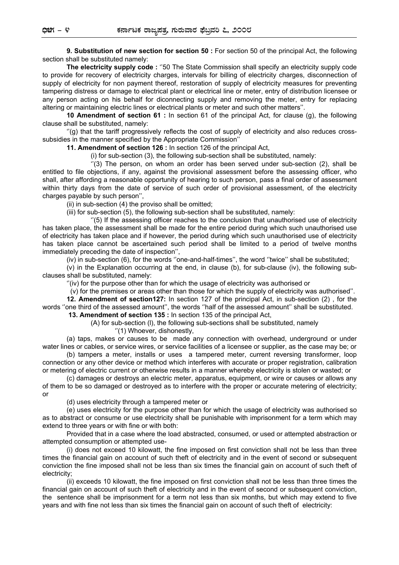**9. Substitution of new section for section 50 :** For section 50 of the principal Act, the following section shall be substituted namely:

**The electricity supply code :** ''50 The State Commission shall specify an electricity supply code to provide for recovery of electricity charges, intervals for billing of electricity charges, disconnection of supply of electricity for non payment thereof, restoration of supply of electricity measures for preventing tampering distress or damage to electrical plant or electrical line or meter, entry of distribution licensee or any person acting on his behalf for diconnecting supply and removing the meter, entry for replacing altering or maintaining electric lines or electrical plants or meter and such other matters''.

**10 Amendment of section 61 :** In section 61 of the principal Act, for clause (g), the following clause shall be substituted, namely:

''(g) that the tariff progressively reflects the cost of supply of electricity and also reduces crosssubsidies in the manner specified by the Appropriate Commission''

**11. Amendment of section 126 :** In section 126 of the principal Act,

(i) for sub-section (3), the following sub-section shall be substituted, namely:

 $\degree$ (3) The person, on whom an order has been served under sub-section (2), shall be entitled to file objections, if any, against the provisional assessment before the assessing officer, who shall, after affording a reasonable opportunity of hearing to such person, pass a final order of assessment within thirty days from the date of service of such order of provisional assessment, of the electricity charges payable by such person",

(ii) in sub-section (4) the proviso shall be omitted;

(iii) for sub-section (5), the following sub-section shall be substituted, namely:

''(5) If the assessing officer reaches to the conclusion that unauthorised use of electricity has taken place, the assessment shall be made for the entire period during which such unauthorised use of electricity has taken place and if however, the period during which such unauthorised use of electricity has taken place cannot be ascertained such period shall be limited to a period of twelve months immediately preceding the date of inspection'',

(iv) in sub-section (6), for the words ''one-and-half-times'', the word ''twice'' shall be substituted;

(v) in the Explanation occurring at the end, in clause (b), for sub-clause (iv), the following subclauses shall be substituted, namely:

''(iv) for the purpose other than for which the usage of electricity was authorised or

(v) for the premises or areas other than those for which the supply of electricity was authorised''.

**12. Amendment of section127:** In section 127 of the principal Act, in sub-section (2) , for the words ''one third of the assessed amount'', the words ''half of the assessed amount'' shall be substituted.

 **13. Amendment of section 135 :** In section 135 of the principal Act,

(A) for sub-section (l), the following sub-sections shall be substituted, namely

''(1) Whoever, dishonestly,

(a) taps, makes or causes to be made any connection with overhead, underground or under water lines or cables, or service wires, or service facilities of a licensee or supplier, as the case may be; or (b) tampers a meter, installs or uses a tampered meter, current reversing transformer, loop

connection or any other device or method which interferes with accurate or proper registration, calibration or metering of electric current or otherwise results in a manner whereby electricity is stolen or wasted; or

(c) damages or destroys an electric meter, apparatus, equipment, or wire or causes or allows any of them to be so damaged or destroyed as to interfere with the proper or accurate metering of electricity; or

(d) uses electricity through a tampered meter or

(e) uses electricity for the purpose other than for which the usage of electricity was authorised so as to abstract or consume or use electricity shall be punishable with imprisonment for a term which may extend to three years or with fine or with both:

Provided that in a case where the load abstracted, consumed, or used or attempted abstraction or attempted consumption or attempted use-

(i) does not exceed 10 kilowatt, the fine imposed on first conviction shall not be less than three times the financial gain on account of such theft of electricity and in the event of second or subsequent conviction the fine imposed shall not be less than six times the financial gain on account of such theft of electricity;

(ii) exceeds 10 kilowatt, the fine imposed on first conviction shall not be less than three times the financial gain on account of such theft of electricity and in the event of second or subsequent conviction, the sentence shall be imprisonment for a term not less than six months, but which may extend to five years and with fine not less than six times the financial gain on account of such theft of electricity: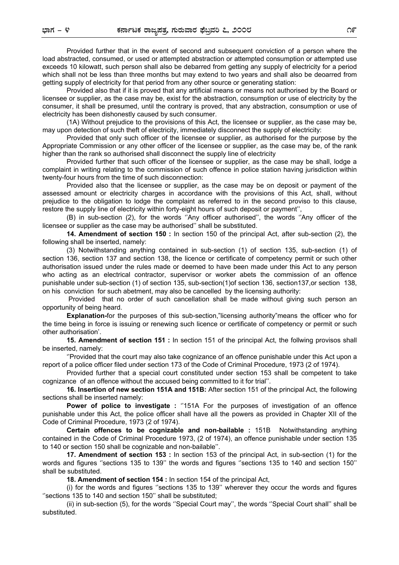Provided further that in the event of second and subsequent conviction of a person where the load abstracted, consumed, or used or attempted abstraction or attempted consumption or attempted use exceeds 10 kilowatt, such person shall also be debarred from getting any supply of electricity for a period which shall not be less than three months but may extend to two years and shall also be deoarred from getting supply of electricity for that period from any other source or generating station:

Provided also that if it is proved that any artificial means or means not authorised by the Board or licensee or supplier, as the case may be, exist for the abstraction, consumption or use of electricity by the consumer, it shall be presumed, until the contrary is proved, that any abstraction, consumption or use of electricity has been dishonestly caused by such consumer.

(1A) Without prejudice to the provisions of this Act, the licensee or supplier, as the case may be, may upon detection of such theft of electricity, immediately disconnect the supply of electricity:

Provided that only such officer of the licensee or supplier, as authorised for the purpose by the Appropriate Commission or any other officer of the licensee or supplier, as the case may be, of the rank higher than the rank so authorised shall disconnect the supply line of electricity

Provided further that such officer of the licensee or supplier, as the case may be shall, lodge a complaint in writing relating to the commission of such offence in police station having jurisdiction within twenty-four hours from the time of such disconnection:

Provided also that the licensee or supplier, as the case may be on deposit or payment of the assessed amount or electricity charges in accordance with the provisions of this Act, shall, without prejudice to the obligation to lodge the complaint as referred to in the second proviso to this clause, restore the supply line of electricity within forty-eight hours of such deposit or payment'',

(B) in sub-section (2), for the words ''Any officer authorised'', the words ''Any officer of the licensee or supplier as the case may be authorised'' shall be substituted.

**14. Amendment of section 150 :** In section 150 of the principal Act, after sub-section (2), the following shall be inserted, namely:

(3) Notwithstanding anything contained in sub-section (1) of section 135, sub-section (1) of section 136, section 137 and section 138, the licence or certificate of competency permit or such other authorisation issued under the rules made or deemed to have been made under this Act to any person who acting as an electrical contractor, supervisor or worker abets the commission of an offence punishable under sub-section (1) of section 135, sub-section(1)of section 136, section137,or section 138, on his conviction for such abetment, may also be cancelled by the licensing authority:

Provided that no order of such cancellation shall be made without giving such person an opportunity of being heard.

**Explanation-**for the purposes of this sub-section,"licensing authority"means the officer who for the time being in force is issuing or renewing such licence or certificate of competency or permit or such other authorisation'.

**15. Amendment of section 151 :** In section 151 of the principal Act, the follwing provisos shall be inserted, namely:

''Provided that the court may also take cognizance of an offence punishable under this Act upon a report of a police officer filed under section 173 of the Code of Criminal Procedure, 1973 (2 of 1974).

Provided further that a special court constituted under section 153 shall be competent to take cognizance of an offence without the accused being committed to it for trial''.

**16. Insertion of new section 151A and 151B:** After section 151 of the principal Act, the following sections shall be inserted namely:

**Power of police to investigate :** "151A For the purposes of investigation of an offence punishable under this Act, the police officer shall have all the powers as provided in Chapter XII of the Code of Criminal Procedure, 1973 (2 of 1974).

**Certain offences to be cognizable and non-bailable :** 151B Notwithstanding anything contained in the Code of Criminal Procedure 1973, (2 of 1974), an offence punishable under section 135 to 140 or section 150 shall be cognizable and non-bailable''.

**17. Amendment of section 153 :** In section 153 of the principal Act, in sub-section (1) for the words and figures ''sections 135 to 139'' the words and figures ''sections 135 to 140 and section 150'' shall be substituted.

**18. Amendment of section 154 :** In section 154 of the principal Act,

(i) for the words and figures ''sections 135 to 139'' wherever they occur the words and figures ''sections 135 to 140 and section 150'' shall be substituted;

(ii) in sub-section (5), for the words ''Special Court may'', the words ''Special Court shall'' shall be substituted.